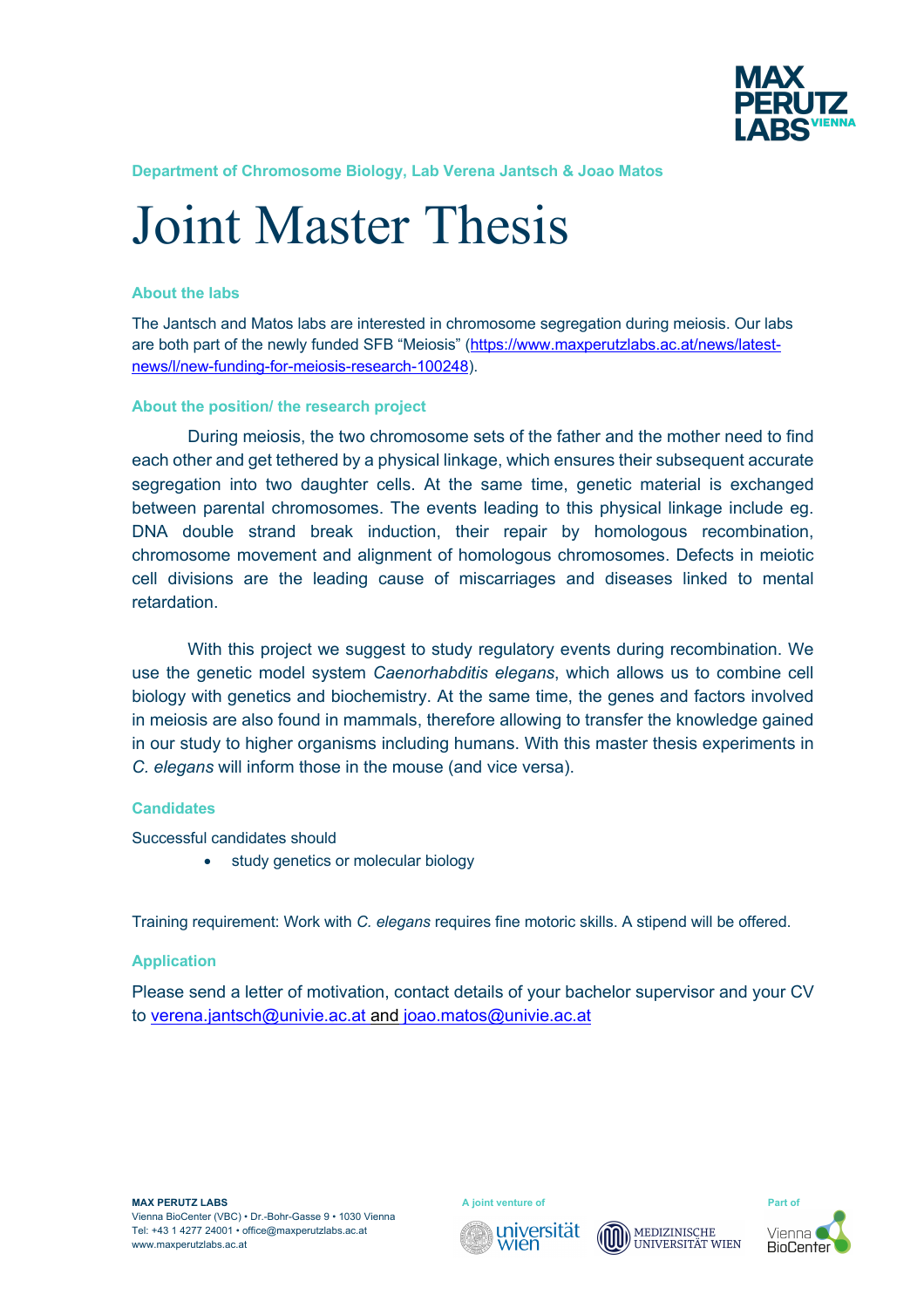

**Department of Chromosome Biology, Lab Verena Jantsch & Joao Matos**

# Joint Master Thesis

#### **About the labs**

The Jantsch and Matos labs are interested in chromosome segregation during meiosis. Our labs are both part of the newly funded SFB "Meiosis" (https://www.maxperutzlabs.ac.at/news/latestnews/l/new-funding-for-meiosis-research-100248).

#### **About the position/ the research project**

During meiosis, the two chromosome sets of the father and the mother need to find each other and get tethered by a physical linkage, which ensures their subsequent accurate segregation into two daughter cells. At the same time, genetic material is exchanged between parental chromosomes. The events leading to this physical linkage include eg. DNA double strand break induction, their repair by homologous recombination, chromosome movement and alignment of homologous chromosomes. Defects in meiotic cell divisions are the leading cause of miscarriages and diseases linked to mental retardation.

With this project we suggest to study regulatory events during recombination. We use the genetic model system *Caenorhabditis elegans*, which allows us to combine cell biology with genetics and biochemistry. At the same time, the genes and factors involved in meiosis are also found in mammals, therefore allowing to transfer the knowledge gained in our study to higher organisms including humans. With this master thesis experiments in *C. elegans* will inform those in the mouse (and vice versa).

## **Candidates**

Successful candidates should

• study genetics or molecular biology

Training requirement: Work with *C. elegans* requires fine motoric skills. A stipend will be offered.

## **Application**

Please send a letter of motivation, contact details of your bachelor supervisor and your CV to verena.jantsch@univie.ac.at and joao.matos@univie.ac.at